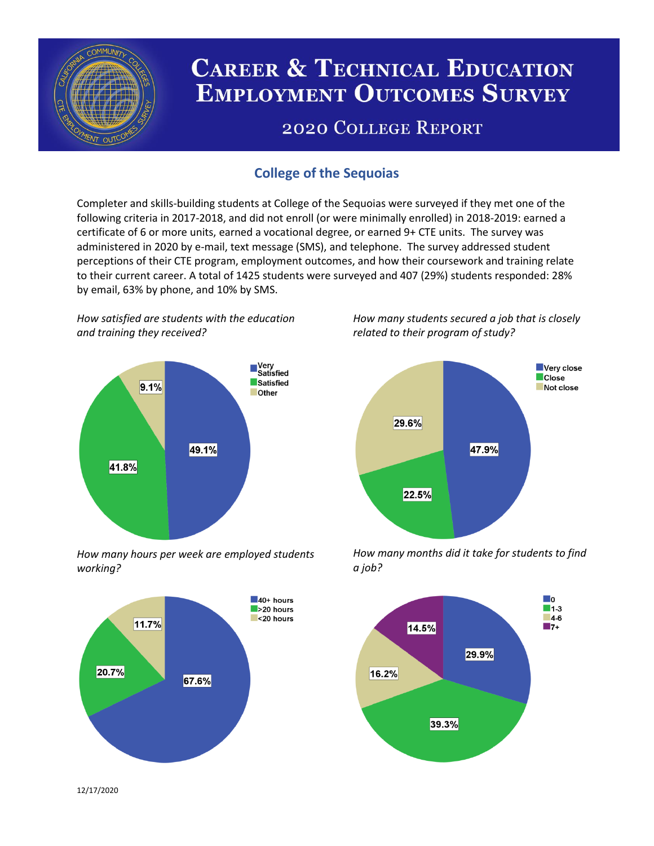

# **CAREER & TECHNICAL EDUCATION EMPLOYMENT OUTCOMES SURVEY**

## **2020 COLLEGE REPORT**

## **College of the Sequoias**

Completer and skills-building students at College of the Sequoias were surveyed if they met one of the following criteria in 2017-2018, and did not enroll (or were minimally enrolled) in 2018-2019: earned a certificate of 6 or more units, earned a vocational degree, or earned 9+ CTE units. The survey was administered in 2020 by e-mail, text message (SMS), and telephone. The survey addressed student perceptions of their CTE program, employment outcomes, and how their coursework and training relate to their current career. A total of 1425 students were surveyed and 407 (29%) students responded: 28% by email, 63% by phone, and 10% by SMS.

*How satisfied are students with the education and training they received?*



*How many hours per week are employed students working?*



*How many students secured a job that is closely related to their program of study?*



*How many months did it take for students to find a job?*



12/17/2020